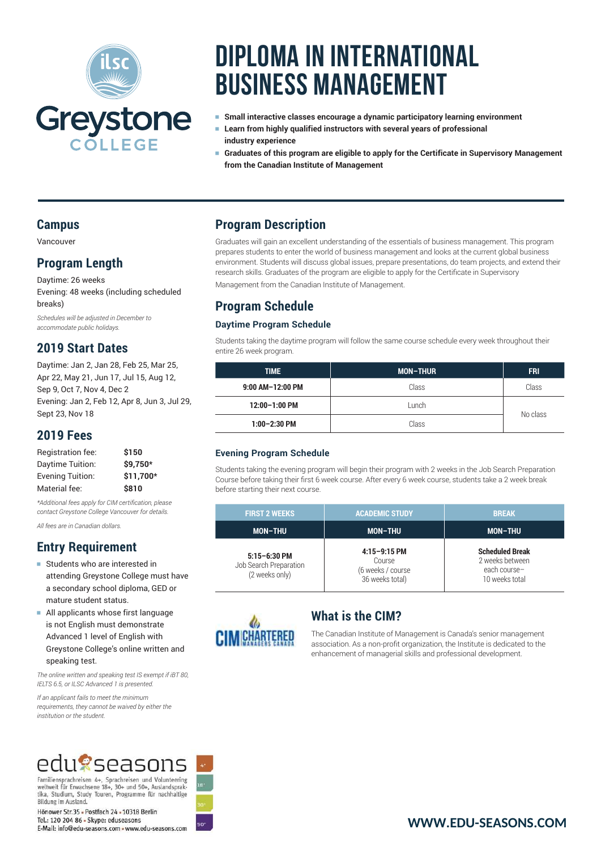

# **Diploma in International Business Management**

- Small interactive classes encourage a dynamic participatory learning environment
- <sup>e</sup> **Learn from highly qualified instructors with several years of professional industry experience**
- <sup>e</sup> **Graduates of this program are eligible to apply for the Certificate in Supervisory Management from the Canadian Institute of Management**

### **Campus**

Vancouver

### **Program Length**

Daytime: 26 weeks Evening: 48 weeks (including scheduled breaks)

*Schedules will be adjusted in December to accommodate public holidays.*

### **2019 Start Dates**

Daytime: Jan 2, Jan 28, Feb 25, Mar 25, Apr 22, May 21, Jun 17, Jul 15, Aug 12, Sep 9, Oct 7, Nov 4, Dec 2 Evening: Jan 2, Feb 12, Apr 8, Jun 3, Jul 29, Sept 23, Nov 18

### **2019 Fees**

| Registration fee:       | \$150     |
|-------------------------|-----------|
| Daytime Tuition:        | \$9.750*  |
| <b>Evening Tuition:</b> | \$11.700* |
| Material fee:           | \$810     |

*\*Additional fees apply for CIM certification, please contact Greystone College Vancouver for details.*

*All fees are in Canadian dollars.*

## **Entry Requirement**

- Students who are interested in attending Greystone College must have a secondary school diploma, GED or mature student status.
- <sup>e</sup> All applicants whose first language is not English must demonstrate Advanced 1 level of English with Greystone College's online written and speaking test.

*The online written and speaking test IS exempt if iBT 80, IELTS 6.5, or ILSC Advanced 1 is presented.* 

*If an applicant fails to meet the minimum requirements, they cannot be waived by either the institution or the student.*

# edu@seasons

Familiensprachreisen 4+, Sprachreisen und Volunteering weltweit für Erwachsene 18+, 30+ und 50+, Auslandspraktika, Studium, Study Touren, Programme für nachhaltige Bildung im Ausland.

Hönower Str. 35 - Postfach 24 - 10318 Berlin Tel.: 120 204 86 - Skype: eduseasons E-Mail: info@edu-seasons.com - www.edu-seasons.com

### **Program Description**

Graduates will gain an excellent understanding of the essentials of business management. This program prepares students to enter the world of business management and looks at the current global business environment. Students will discuss global issues, prepare presentations, do team projects, and extend their research skills. Graduates of the program are eligible to apply for the Certificate in Supervisory Management from the Canadian Institute of Management.

### **Program Schedule**

#### **Daytime Program Schedule**

Students taking the daytime program will follow the same course schedule every week throughout their entire 26 week program.

| <b>TIME</b>      | <b>MON-THUR</b> | <b>FRI</b> |
|------------------|-----------------|------------|
| 9:00 AM-12:00 PM | Class           | Class      |
| 12:00-1:00 PM    | Lunch           | No class   |
| $1:00-2:30$ PM   | Class           |            |

### **Evening Program Schedule**

Students taking the evening program will begin their program with 2 weeks in the Job Search Preparation Course before taking their first 6 week course. After every 6 week course, students take a 2 week break before starting their next course.

| <b>FIRST 2 WEEKS</b>                                         | <b>ACADEMIC STUDY</b>                                            | <b>BREAK</b>                                                                |
|--------------------------------------------------------------|------------------------------------------------------------------|-----------------------------------------------------------------------------|
| <b>MON-THU</b>                                               | <b>MON-THU</b>                                                   | <b>MON-THU</b>                                                              |
| $5:15 - 6:30$ PM<br>Job Search Preparation<br>(2 weeks only) | $4:15-9:15$ PM<br>Course<br>(6 weeks / course<br>36 weeks total) | <b>Scheduled Break</b><br>2 weeks between<br>each course-<br>10 weeks total |



### **What is the CIM?**

The Canadian Institute of Management is Canada's senior management association. As a non-profit organization, the Institute is dedicated to the enhancement of managerial skills and professional development.